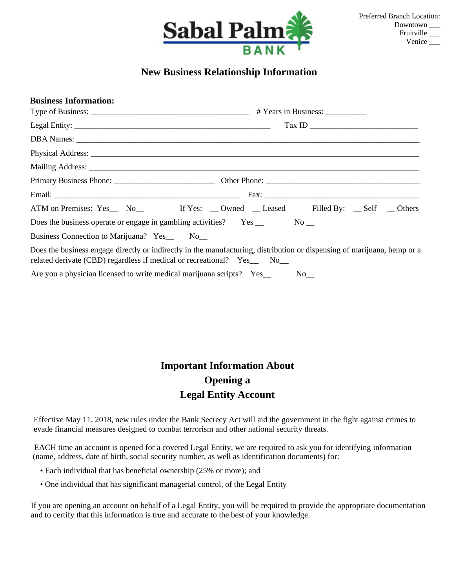

## **New Business Relationship Information**

| <b>Business Information:</b>                                          |                                                                                                                          |  |  |  |  |
|-----------------------------------------------------------------------|--------------------------------------------------------------------------------------------------------------------------|--|--|--|--|
| $\boxed{\text{Tax ID}} \qquad \qquad \boxed{\qquad \qquad }$          |                                                                                                                          |  |  |  |  |
|                                                                       |                                                                                                                          |  |  |  |  |
|                                                                       |                                                                                                                          |  |  |  |  |
|                                                                       |                                                                                                                          |  |  |  |  |
|                                                                       |                                                                                                                          |  |  |  |  |
|                                                                       |                                                                                                                          |  |  |  |  |
|                                                                       | ATM on Premises: Yes_ No_ If Yes: _ Owned _ Leased Filled By: _ Self _ Others                                            |  |  |  |  |
|                                                                       |                                                                                                                          |  |  |  |  |
| Business Connection to Marijuana? Yes_ No_                            |                                                                                                                          |  |  |  |  |
| related derivate (CBD) regardless if medical or recreational? Yes No  | Does the business engage directly or indirectly in the manufacturing, distribution or dispensing of marijuana, hemp or a |  |  |  |  |
| Are you a physician licensed to write medical marijuana scripts? Yes_ | $No$ <sub>__</sub>                                                                                                       |  |  |  |  |

## **Important Information About Opening a Legal Entity Account**

 Effective May 11, 2018, new rules under the Bank Secrecy Act will aid the government in the fight against crimes to evade financial measures designed to combat terrorism and other national security threats.

EACH time an account is opened for a covered Legal Entity, we are required to ask you for identifying information (name, address, date of birth, social security number, as well as identification documents) for:

- Each individual that has beneficial ownership (25% or more); and
- One individual that has significant managerial control, of the Legal Entity

If you are opening an account on behalf of a Legal Entity, you will be required to provide the appropriate documentation and to certify that this information is true and accurate to the best of your knowledge.